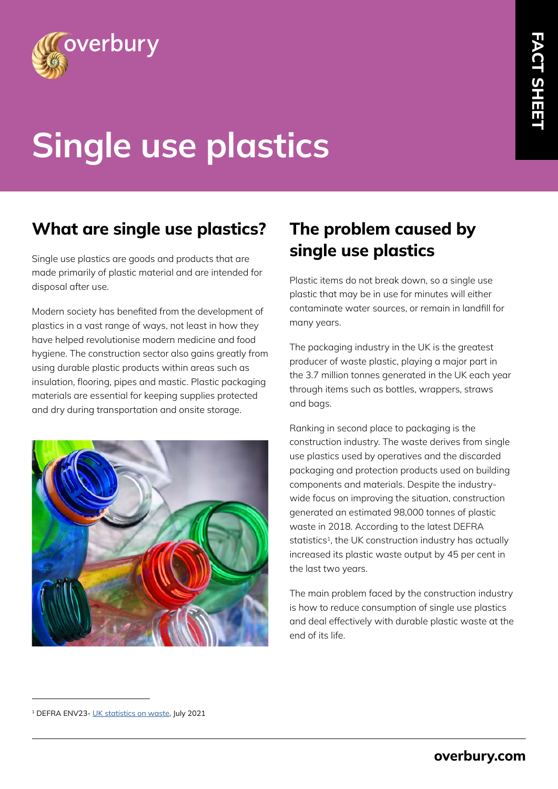

# **Single use plastics**

## **What are single use plastics?**

Single use plastics are goods and products that are made primarily of plastic material and are intended for disposal after use.

Modern society has benefited from the development of plastics in a vast range of ways, not least in how they have helped revolutionise modern medicine and food hygiene. The construction sector also gains greatly from using durable plastic products within areas such as insulation, flooring, pipes and mastic. Plastic packaging materials are essential for keeping supplies protected and dry during transportation and onsite storage.



#### **The problem caused by single use plastics**

Plastic items do not break down, so a single use plastic that may be in use for minutes will either contaminate water sources, or remain in landfill for many years.

The packaging industry in the UK is the greatest producer of waste plastic, playing a major part in the 3.7 million tonnes generated in the UK each year through items such as bottles, wrappers, straws and bags.

Ranking in second place to packaging is the construction industry. The waste derives from single use plastics used by operatives and the discarded packaging and protection products used on building components and materials. Despite the industrywide focus on improving the situation, construction generated an estimated 98,000 tonnes of plastic waste in 2018. According to the latest DEFRA statistics<sup>1</sup>, the UK construction industry has actually increased its plastic waste output by 45 per cent in the last two years.

The main problem faced by the construction industry is how to reduce consumption of single use plastics and deal effectively with durable plastic waste at the end of its life.

<sup>1</sup> DEFRA ENV23- [UK statistics on waste,](https://www.gov.uk/government/statistical-data-sets/env23-uk-waste-data-and-management) July 2021